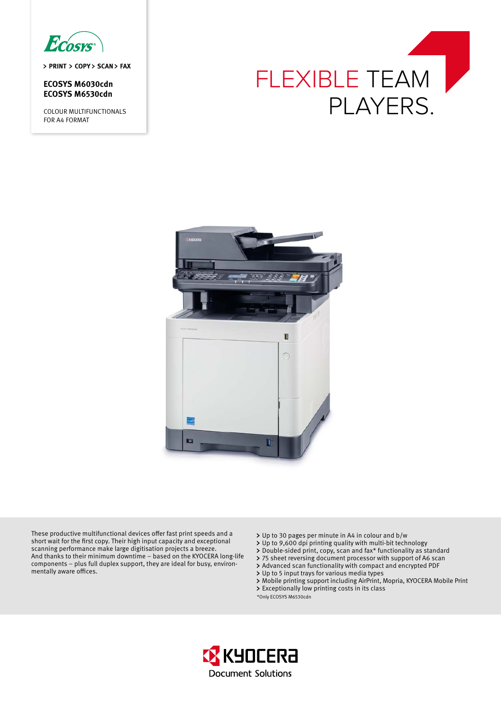

> PRINT > COPY > SCAN > FAX

**ECOSYS M6030cdn ECOSYS M6530cdn**

COLOUR MULTIFUNCTIONALS FOR A4 FORMAT





These productive multifunctional devices offer fast print speeds and a short wait for the first copy. Their high input capacity and exceptional scanning performance make large digitisation projects a breeze. And thanks to their minimum downtime – based on the KYOCERA long-life components – plus full duplex support, they are ideal for busy, environmentally aware offices.

- Up to 30 pages per minute in A4 in colour and b/w
- Up to 9,600 dpi printing quality with multi-bit technology
- > Double-sided print, copy, scan and fax\* functionality as standard
- 75 sheet reversing document processor with support of A6 scan
- Advanced scan functionality with compact and encrypted PDF
- Up to 5 input trays for various media types
- Mobile printing support including AirPrint, Mopria, KYOCERA Mobile Print Exceptionally low printing costs in its class
- \*Only ECOSYS M6530cdn